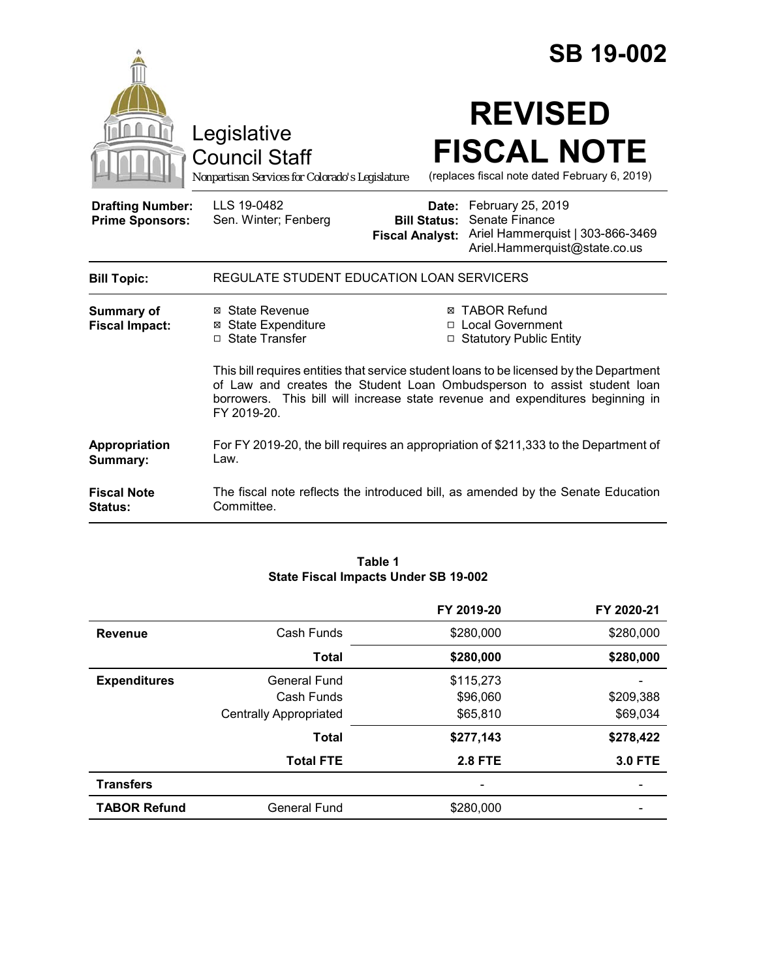|                                                   |                                                                                                                                                                                                                                                                     | <b>SB 19-002</b>                                                                                                                                                |  |
|---------------------------------------------------|---------------------------------------------------------------------------------------------------------------------------------------------------------------------------------------------------------------------------------------------------------------------|-----------------------------------------------------------------------------------------------------------------------------------------------------------------|--|
|                                                   | Legislative<br><b>Council Staff</b><br>Nonpartisan Services for Colorado's Legislature                                                                                                                                                                              | <b>REVISED</b><br><b>FISCAL NOTE</b><br>(replaces fiscal note dated February 6, 2019)                                                                           |  |
| <b>Drafting Number:</b><br><b>Prime Sponsors:</b> | LLS 19-0482<br>Sen. Winter; Fenberg                                                                                                                                                                                                                                 | Date: February 25, 2019<br>Senate Finance<br><b>Bill Status:</b><br>Ariel Hammerquist   303-866-3469<br><b>Fiscal Analyst:</b><br>Ariel.Hammerquist@state.co.us |  |
| <b>Bill Topic:</b>                                | REGULATE STUDENT EDUCATION LOAN SERVICERS                                                                                                                                                                                                                           |                                                                                                                                                                 |  |
| Summary of<br><b>Fiscal Impact:</b>               | ⊠ State Revenue<br><b>⊠</b> State Expenditure<br>□ State Transfer                                                                                                                                                                                                   | ⊠ TABOR Refund<br>□ Local Government<br>□ Statutory Public Entity                                                                                               |  |
|                                                   | This bill requires entities that service student loans to be licensed by the Department<br>of Law and creates the Student Loan Ombudsperson to assist student loan<br>borrowers. This bill will increase state revenue and expenditures beginning in<br>FY 2019-20. |                                                                                                                                                                 |  |
| Appropriation<br>Summary:                         | For FY 2019-20, the bill requires an appropriation of \$211,333 to the Department of<br>Law.                                                                                                                                                                        |                                                                                                                                                                 |  |
| <b>Fiscal Note</b><br>Status:                     | Committee.                                                                                                                                                                                                                                                          | The fiscal note reflects the introduced bill, as amended by the Senate Education                                                                                |  |

### **Table 1 State Fiscal Impacts Under SB 19-002**

|                     |                               | FY 2019-20     | FY 2020-21     |
|---------------------|-------------------------------|----------------|----------------|
| <b>Revenue</b>      | Cash Funds                    | \$280,000      | \$280,000      |
|                     | <b>Total</b>                  | \$280,000      | \$280,000      |
| <b>Expenditures</b> | <b>General Fund</b>           | \$115,273      |                |
|                     | Cash Funds                    | \$96,060       | \$209,388      |
|                     | <b>Centrally Appropriated</b> | \$65,810       | \$69,034       |
|                     | <b>Total</b>                  | \$277,143      | \$278,422      |
|                     | <b>Total FTE</b>              | <b>2.8 FTE</b> | <b>3.0 FTE</b> |
| <b>Transfers</b>    |                               |                |                |
| <b>TABOR Refund</b> | <b>General Fund</b>           | \$280,000      |                |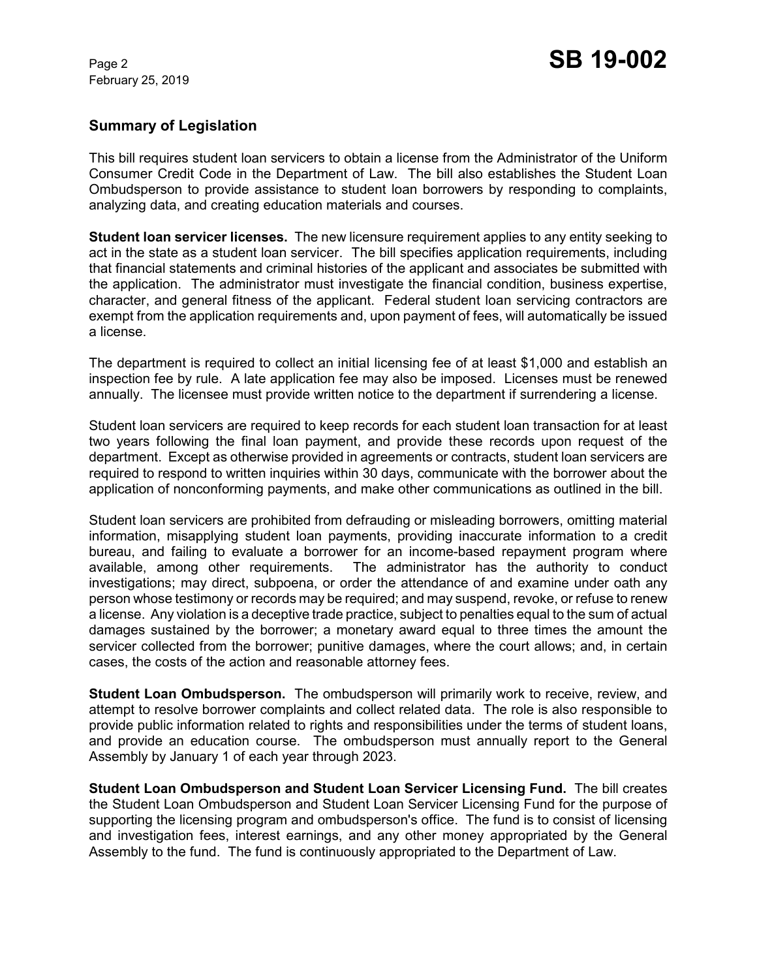February 25, 2019

# **Summary of Legislation**

This bill requires student loan servicers to obtain a license from the Administrator of the Uniform Consumer Credit Code in the Department of Law. The bill also establishes the Student Loan Ombudsperson to provide assistance to student loan borrowers by responding to complaints, analyzing data, and creating education materials and courses.

**Student loan servicer licenses.** The new licensure requirement applies to any entity seeking to act in the state as a student loan servicer. The bill specifies application requirements, including that financial statements and criminal histories of the applicant and associates be submitted with the application. The administrator must investigate the financial condition, business expertise, character, and general fitness of the applicant. Federal student loan servicing contractors are exempt from the application requirements and, upon payment of fees, will automatically be issued a license.

The department is required to collect an initial licensing fee of at least \$1,000 and establish an inspection fee by rule. A late application fee may also be imposed. Licenses must be renewed annually. The licensee must provide written notice to the department if surrendering a license.

Student loan servicers are required to keep records for each student loan transaction for at least two years following the final loan payment, and provide these records upon request of the department. Except as otherwise provided in agreements or contracts, student loan servicers are required to respond to written inquiries within 30 days, communicate with the borrower about the application of nonconforming payments, and make other communications as outlined in the bill.

Student loan servicers are prohibited from defrauding or misleading borrowers, omitting material information, misapplying student loan payments, providing inaccurate information to a credit bureau, and failing to evaluate a borrower for an income-based repayment program where available, among other requirements. The administrator has the authority to conduct investigations; may direct, subpoena, or order the attendance of and examine under oath any person whose testimony or records may be required; and may suspend, revoke, or refuse to renew a license. Any violation is a deceptive trade practice, subject to penalties equal to the sum of actual damages sustained by the borrower; a monetary award equal to three times the amount the servicer collected from the borrower; punitive damages, where the court allows; and, in certain cases, the costs of the action and reasonable attorney fees.

**Student Loan Ombudsperson.** The ombudsperson will primarily work to receive, review, and attempt to resolve borrower complaints and collect related data. The role is also responsible to provide public information related to rights and responsibilities under the terms of student loans, and provide an education course. The ombudsperson must annually report to the General Assembly by January 1 of each year through 2023.

**Student Loan Ombudsperson and Student Loan Servicer Licensing Fund.** The bill creates the Student Loan Ombudsperson and Student Loan Servicer Licensing Fund for the purpose of supporting the licensing program and ombudsperson's office. The fund is to consist of licensing and investigation fees, interest earnings, and any other money appropriated by the General Assembly to the fund. The fund is continuously appropriated to the Department of Law.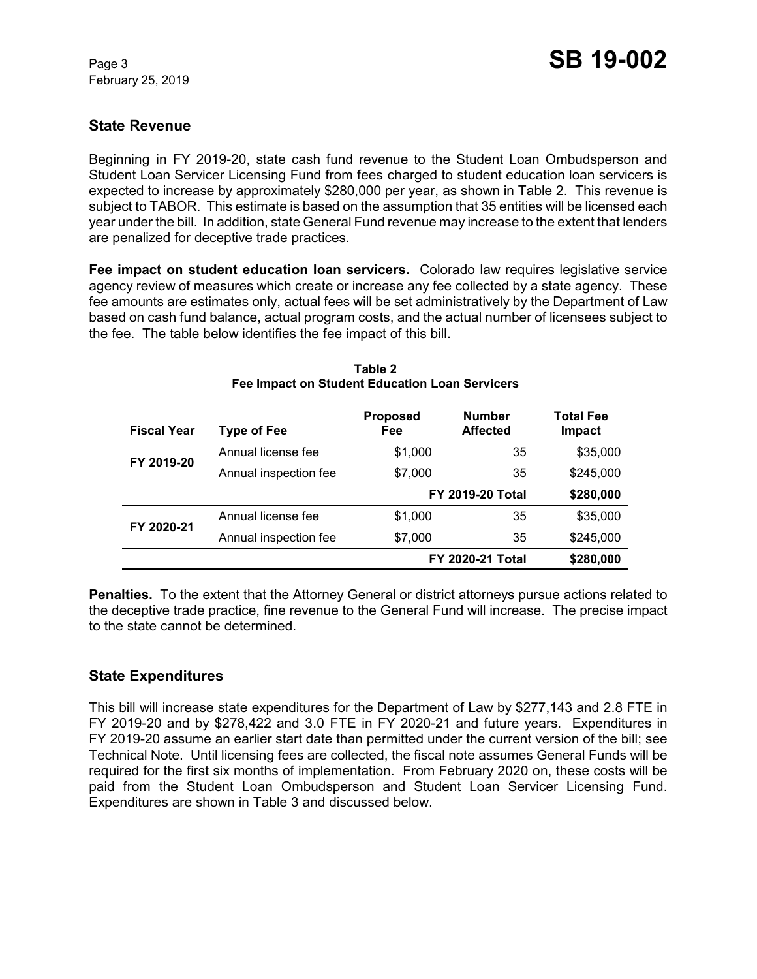February 25, 2019

# **State Revenue**

Beginning in FY 2019-20, state cash fund revenue to the Student Loan Ombudsperson and Student Loan Servicer Licensing Fund from fees charged to student education loan servicers is expected to increase by approximately \$280,000 per year, as shown in Table 2. This revenue is subject to TABOR. This estimate is based on the assumption that 35 entities will be licensed each year under the bill. In addition, state General Fund revenue may increase to the extent that lenders are penalized for deceptive trade practices.

**Fee impact on student education loan servicers.** Colorado law requires legislative service agency review of measures which create or increase any fee collected by a state agency. These fee amounts are estimates only, actual fees will be set administratively by the Department of Law based on cash fund balance, actual program costs, and the actual number of licensees subject to the fee. The table below identifies the fee impact of this bill.

| <b>Fiscal Year</b> | <b>Type of Fee</b>    | <b>Proposed</b><br>Fee  | <b>Number</b><br><b>Affected</b> | Total Fee<br><b>Impact</b> |
|--------------------|-----------------------|-------------------------|----------------------------------|----------------------------|
| FY 2019-20         | Annual license fee    | \$1,000                 | 35                               | \$35,000                   |
|                    | Annual inspection fee | \$7,000                 | 35                               | \$245,000                  |
|                    |                       |                         | <b>FY 2019-20 Total</b>          | \$280,000                  |
| FY 2020-21         | Annual license fee    | \$1,000                 | 35                               | \$35,000                   |
|                    | Annual inspection fee | \$7,000                 | 35                               | \$245,000                  |
|                    |                       | <b>FY 2020-21 Total</b> |                                  | \$280,000                  |

#### **Table 2 Fee Impact on Student Education Loan Servicers**

**Penalties.** To the extent that the Attorney General or district attorneys pursue actions related to the deceptive trade practice, fine revenue to the General Fund will increase. The precise impact to the state cannot be determined.

# **State Expenditures**

This bill will increase state expenditures for the Department of Law by \$277,143 and 2.8 FTE in FY 2019-20 and by \$278,422 and 3.0 FTE in FY 2020-21 and future years. Expenditures in FY 2019-20 assume an earlier start date than permitted under the current version of the bill; see Technical Note. Until licensing fees are collected, the fiscal note assumes General Funds will be required for the first six months of implementation. From February 2020 on, these costs will be paid from the Student Loan Ombudsperson and Student Loan Servicer Licensing Fund. Expenditures are shown in Table 3 and discussed below.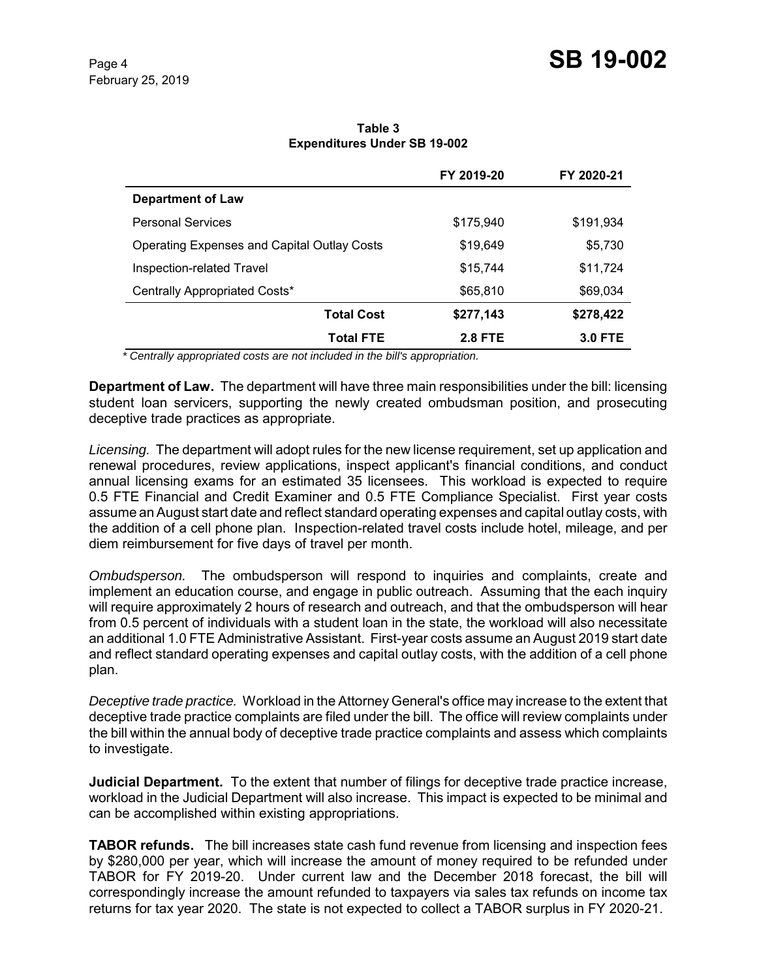|                                                    | FY 2019-20     | FY 2020-21     |
|----------------------------------------------------|----------------|----------------|
| <b>Department of Law</b>                           |                |                |
| <b>Personal Services</b>                           | \$175,940      | \$191,934      |
| <b>Operating Expenses and Capital Outlay Costs</b> | \$19,649       | \$5,730        |
| Inspection-related Travel                          | \$15,744       | \$11,724       |
| Centrally Appropriated Costs*                      | \$65,810       | \$69,034       |
| <b>Total Cost</b>                                  | \$277,143      | \$278,422      |
| <b>Total FTE</b>                                   | <b>2.8 FTE</b> | <b>3.0 FTE</b> |

**Table 3 Expenditures Under SB 19-002**

 *\* Centrally appropriated costs are not included in the bill's appropriation.*

**Department of Law.** The department will have three main responsibilities under the bill: licensing student loan servicers, supporting the newly created ombudsman position, and prosecuting deceptive trade practices as appropriate.

*Licensing.* The department will adopt rules for the new license requirement, set up application and renewal procedures, review applications, inspect applicant's financial conditions, and conduct annual licensing exams for an estimated 35 licensees. This workload is expected to require 0.5 FTE Financial and Credit Examiner and 0.5 FTE Compliance Specialist. First year costs assume an August start date and reflect standard operating expenses and capital outlay costs, with the addition of a cell phone plan. Inspection-related travel costs include hotel, mileage, and per diem reimbursement for five days of travel per month.

*Ombudsperson.* The ombudsperson will respond to inquiries and complaints, create and implement an education course, and engage in public outreach. Assuming that the each inquiry will require approximately 2 hours of research and outreach, and that the ombudsperson will hear from 0.5 percent of individuals with a student loan in the state, the workload will also necessitate an additional 1.0 FTE Administrative Assistant. First-year costs assume an August 2019 start date and reflect standard operating expenses and capital outlay costs, with the addition of a cell phone plan.

*Deceptive trade practice.* Workload in the Attorney General's office may increase to the extent that deceptive trade practice complaints are filed under the bill. The office will review complaints under the bill within the annual body of deceptive trade practice complaints and assess which complaints to investigate.

**Judicial Department.** To the extent that number of filings for deceptive trade practice increase, workload in the Judicial Department will also increase. This impact is expected to be minimal and can be accomplished within existing appropriations.

**TABOR refunds.** The bill increases state cash fund revenue from licensing and inspection fees by \$280,000 per year, which will increase the amount of money required to be refunded under TABOR for FY 2019-20. Under current law and the December 2018 forecast, the bill will correspondingly increase the amount refunded to taxpayers via sales tax refunds on income tax returns for tax year 2020. The state is not expected to collect a TABOR surplus in FY 2020-21.